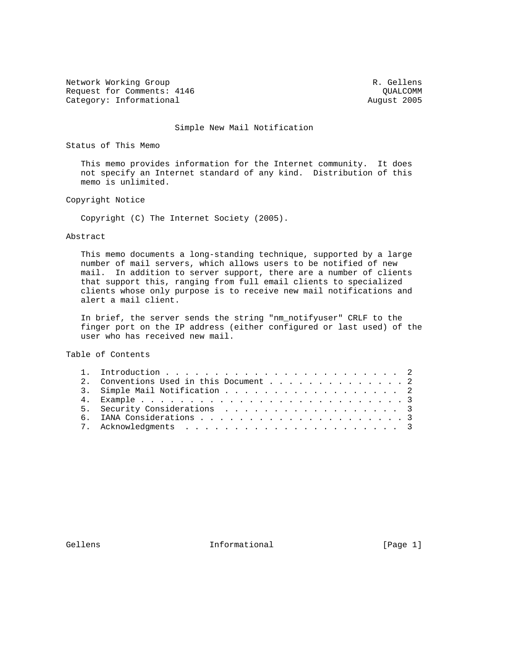Network Working Group and the set of the set of the set of the R. Gellens Request for Comments: 4146 COMM Category: Informational and August 2005

## Simple New Mail Notification

Status of This Memo

 This memo provides information for the Internet community. It does not specify an Internet standard of any kind. Distribution of this memo is unlimited.

Copyright Notice

Copyright (C) The Internet Society (2005).

## Abstract

 This memo documents a long-standing technique, supported by a large number of mail servers, which allows users to be notified of new mail. In addition to server support, there are a number of clients that support this, ranging from full email clients to specialized clients whose only purpose is to receive new mail notifications and alert a mail client.

 In brief, the server sends the string "nm\_notifyuser" CRLF to the finger port on the IP address (either configured or last used) of the user who has received new mail.

Table of Contents

| 2. Conventions Used in this Document 2 |  |
|----------------------------------------|--|
| 3. Simple Mail Notification 2          |  |
|                                        |  |
| 5. Security Considerations 3           |  |
|                                        |  |
|                                        |  |
|                                        |  |

Gellens 1nformational [Page 1]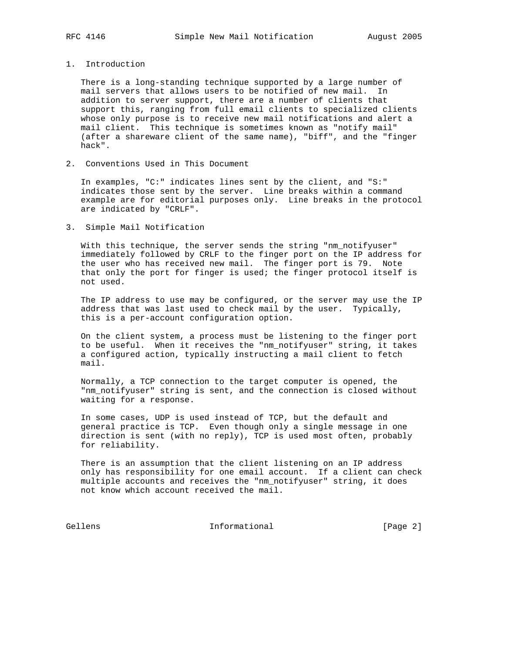## 1. Introduction

 There is a long-standing technique supported by a large number of mail servers that allows users to be notified of new mail. In addition to server support, there are a number of clients that support this, ranging from full email clients to specialized clients whose only purpose is to receive new mail notifications and alert a mail client. This technique is sometimes known as "notify mail" (after a shareware client of the same name), "biff", and the "finger hack".

2. Conventions Used in This Document

 In examples, "C:" indicates lines sent by the client, and "S:" indicates those sent by the server. Line breaks within a command example are for editorial purposes only. Line breaks in the protocol are indicated by "CRLF".

## 3. Simple Mail Notification

 With this technique, the server sends the string "nm\_notifyuser" immediately followed by CRLF to the finger port on the IP address for the user who has received new mail. The finger port is 79. Note that only the port for finger is used; the finger protocol itself is not used.

 The IP address to use may be configured, or the server may use the IP address that was last used to check mail by the user. Typically, this is a per-account configuration option.

 On the client system, a process must be listening to the finger port to be useful. When it receives the "nm\_notifyuser" string, it takes a configured action, typically instructing a mail client to fetch mail.

 Normally, a TCP connection to the target computer is opened, the "nm\_notifyuser" string is sent, and the connection is closed without waiting for a response.

 In some cases, UDP is used instead of TCP, but the default and general practice is TCP. Even though only a single message in one direction is sent (with no reply), TCP is used most often, probably for reliability.

 There is an assumption that the client listening on an IP address only has responsibility for one email account. If a client can check multiple accounts and receives the "nm\_notifyuser" string, it does not know which account received the mail.

Gellens 1nformational [Page 2]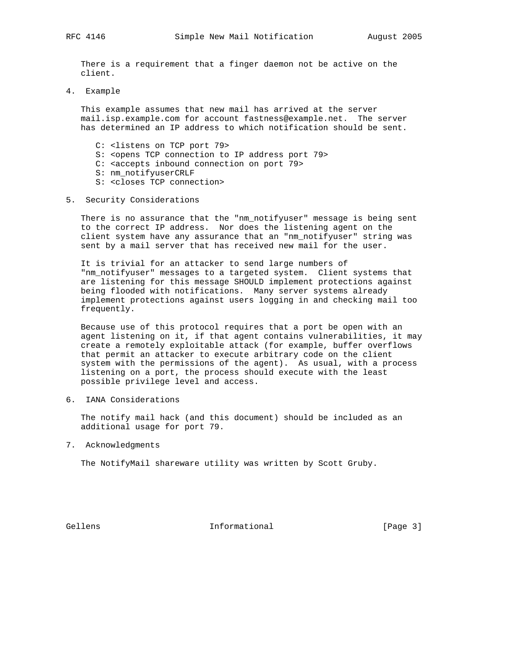There is a requirement that a finger daemon not be active on the client.

4. Example

 This example assumes that new mail has arrived at the server mail.isp.example.com for account fastness@example.net. The server has determined an IP address to which notification should be sent.

- C: <listens on TCP port 79>
- S: <opens TCP connection to IP address port 79>
- C: <accepts inbound connection on port 79>
- S: nm\_notifyuserCRLF
- S: <closes TCP connection>
- 5. Security Considerations

 There is no assurance that the "nm\_notifyuser" message is being sent to the correct IP address. Nor does the listening agent on the client system have any assurance that an "nm\_notifyuser" string was sent by a mail server that has received new mail for the user.

 It is trivial for an attacker to send large numbers of "nm\_notifyuser" messages to a targeted system. Client systems that are listening for this message SHOULD implement protections against being flooded with notifications. Many server systems already implement protections against users logging in and checking mail too frequently.

 Because use of this protocol requires that a port be open with an agent listening on it, if that agent contains vulnerabilities, it may create a remotely exploitable attack (for example, buffer overflows that permit an attacker to execute arbitrary code on the client system with the permissions of the agent). As usual, with a process listening on a port, the process should execute with the least possible privilege level and access.

6. IANA Considerations

 The notify mail hack (and this document) should be included as an additional usage for port 79.

7. Acknowledgments

The NotifyMail shareware utility was written by Scott Gruby.

Gellens 1nformational [Page 3]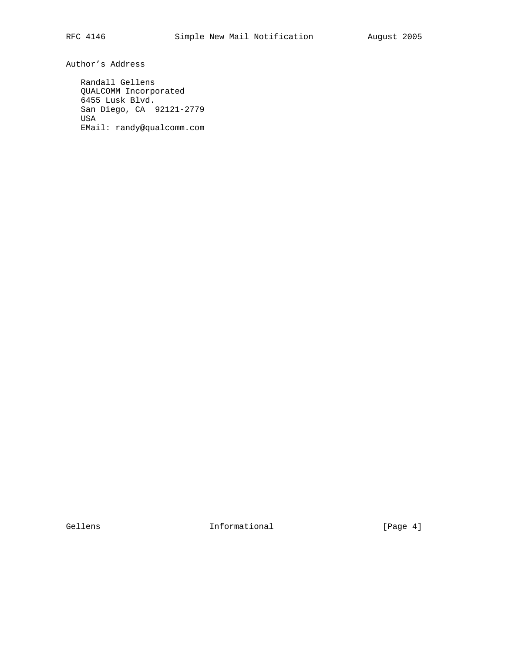Author's Address

 Randall Gellens QUALCOMM Incorporated 6455 Lusk Blvd. San Diego, CA 92121-2779 USA EMail: randy@qualcomm.com

Gellens 1nformational [Page 4]